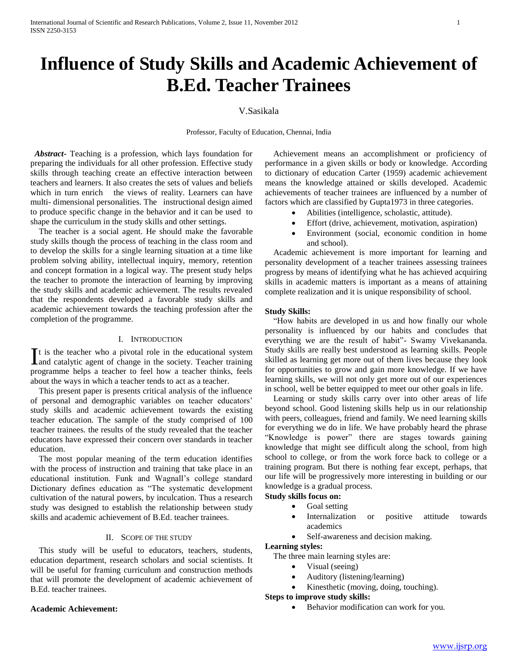# **Influence of Study Skills and Academic Achievement of B.Ed. Teacher Trainees**

# V.Sasikala

Professor, Faculty of Education, Chennai, India

 *Abstract***-** Teaching is a profession, which lays foundation for preparing the individuals for all other profession. Effective study skills through teaching create an effective interaction between teachers and learners. It also creates the sets of values and beliefs which in turn enrich the views of reality. Learners can have multi- dimensional personalities. The instructional design aimed to produce specific change in the behavior and it can be used to shape the curriculum in the study skills and other settings.

 The teacher is a social agent. He should make the favorable study skills though the process of teaching in the class room and to develop the skills for a single learning situation at a time like problem solving ability, intellectual inquiry, memory, retention and concept formation in a logical way. The present study helps the teacher to promote the interaction of learning by improving the study skills and academic achievement. The results revealed that the respondents developed a favorable study skills and academic achievement towards the teaching profession after the completion of the programme.

### I. INTRODUCTION

t is the teacher who a pivotal role in the educational system It is the teacher who a pivotal role in the educational system<br>and catalytic agent of change in the society. Teacher training programme helps a teacher to feel how a teacher thinks, feels about the ways in which a teacher tends to act as a teacher.

 This present paper is presents critical analysis of the influence of personal and demographic variables on teacher educators' study skills and academic achievement towards the existing teacher education. The sample of the study comprised of 100 teacher trainees. the results of the study revealed that the teacher educators have expressed their concern over standards in teacher education.

 The most popular meaning of the term education identifies with the process of instruction and training that take place in an educational institution. Funk and Wagnall's college standard Dictionary defines education as "The systematic development cultivation of the natural powers, by inculcation. Thus a research study was designed to establish the relationship between study skills and academic achievement of B.Ed. teacher trainees.

## II. SCOPE OF THE STUDY

 This study will be useful to educators, teachers, students, education department, research scholars and social scientists. It will be useful for framing curriculum and construction methods that will promote the development of academic achievement of B.Ed. teacher trainees.

#### **Academic Achievement:**

 Achievement means an accomplishment or proficiency of performance in a given skills or body or knowledge. According to dictionary of education Carter (1959) academic achievement means the knowledge attained or skills developed. Academic achievements of teacher trainees are influenced by a number of factors which are classified by Gupta1973 in three categories.

- Abilities (intelligence, scholastic, attitude).
- Effort (drive, achievement, motivation, aspiration)
- Environment (social, economic condition in home and school).

 Academic achievement is more important for learning and personality development of a teacher trainees assessing trainees progress by means of identifying what he has achieved acquiring skills in academic matters is important as a means of attaining complete realization and it is unique responsibility of school.

### **Study Skills:**

 "How habits are developed in us and how finally our whole personality is influenced by our habits and concludes that everything we are the result of habit"- Swamy Vivekananda. Study skills are really best understood as learning skills. People skilled as learning get more out of them lives because they look for opportunities to grow and gain more knowledge. If we have learning skills, we will not only get more out of our experiences in school, well be better equipped to meet our other goals in life.

 Learning or study skills carry over into other areas of life beyond school. Good listening skills help us in our relationship with peers, colleagues, friend and family. We need learning skills for everything we do in life. We have probably heard the phrase "Knowledge is power" there are stages towards gaining knowledge that might see difficult along the school, from high school to college, or from the work force back to college or a training program. But there is nothing fear except, perhaps, that our life will be progressively more interesting in building or our knowledge is a gradual process.

# **Study skills focus on:**

- Goal setting
- Internalization or positive attitude towards academics
- Self-awareness and decision making.

# **Learning styles:**

- The three main learning styles are:
	- Visual (seeing)
	- Auditory (listening/learning)
	- Kinesthetic (moving, doing, touching).

# **Steps to improve study skills:**

Behavior modification can work for you.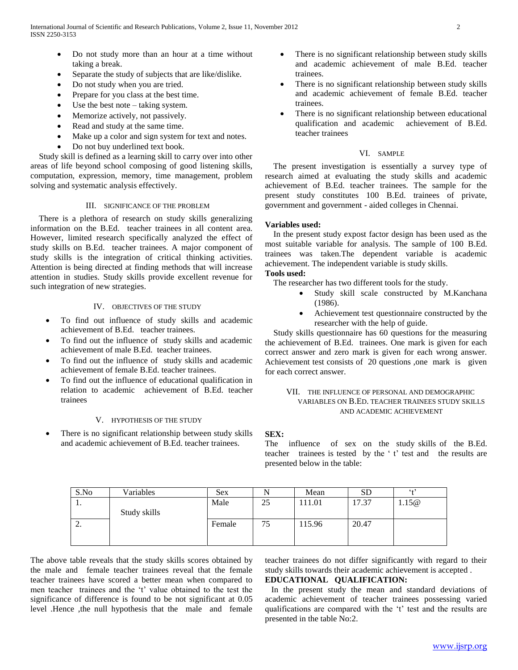- Do not study more than an hour at a time without taking a break.
- Separate the study of subjects that are like/dislike.
- Do not study when you are tried.
- Prepare for you class at the best time.
- Use the best note taking system.
- Memorize actively, not passively.
- Read and study at the same time.
- Make up a color and sign system for text and notes.
- Do not buy underlined text book.

 Study skill is defined as a learning skill to carry over into other areas of life beyond school composing of good listening skills, computation, expression, memory, time management, problem solving and systematic analysis effectively.

# III. SIGNIFICANCE OF THE PROBLEM

 There is a plethora of research on study skills generalizing information on the B.Ed. teacher trainees in all content area. However, limited research specifically analyzed the effect of study skills on B.Ed. teacher trainees. A major component of study skills is the integration of critical thinking activities. Attention is being directed at finding methods that will increase attention in studies. Study skills provide excellent revenue for such integration of new strategies.

# IV. OBJECTIVES OF THE STUDY

- To find out influence of study skills and academic achievement of B.Ed. teacher trainees.
- To find out the influence of study skills and academic achievement of male B.Ed. teacher trainees.
- To find out the influence of study skills and academic achievement of female B.Ed. teacher trainees.
- To find out the influence of educational qualification in relation to academic achievement of B.Ed. teacher trainees

#### V. HYPOTHESIS OF THE STUDY

 There is no significant relationship between study skills and academic achievement of B.Ed. teacher trainees.

- There is no significant relationship between study skills and academic achievement of male B.Ed. teacher trainees.
- There is no significant relationship between study skills and academic achievement of female B.Ed. teacher trainees.
- There is no significant relationship between educational qualification and academic achievement of B.Ed. teacher trainees

# VI. SAMPLE

 The present investigation is essentially a survey type of research aimed at evaluating the study skills and academic achievement of B.Ed. teacher trainees. The sample for the present study constitutes 100 B.Ed. trainees of private, government and government - aided colleges in Chennai.

### **Variables used:**

 In the present study expost factor design has been used as the most suitable variable for analysis. The sample of 100 B.Ed. trainees was taken.The dependent variable is academic achievement. The independent variable is study skills. **Tools used:**

The researcher has two different tools for the study.

- Study skill scale constructed by M.Kanchana (1986).
- Achievement test questionnaire constructed by the researcher with the help of guide.

 Study skills questionnaire has 60 questions for the measuring the achievement of B.Ed. trainees. One mark is given for each correct answer and zero mark is given for each wrong answer. Achievement test consists of 20 questions ,one mark is given for each correct answer.

# VII. THE INFLUENCE OF PERSONAL AND DEMOGRAPHIC VARIABLES ON B.ED. TEACHER TRAINEES STUDY SKILLS AND ACADEMIC ACHIEVEMENT

### **SEX:**

The influence of sex on the study skills of the B.Ed. teacher trainees is tested by the ' t' test and the results are presented below in the table:

| S.No     | Variables    | <b>Sex</b> |    | Mean   | <b>SD</b> | 6.12  |
|----------|--------------|------------|----|--------|-----------|-------|
| . .      |              | Male       | 25 | 111.01 | 17.37     | 1.15@ |
|          | Study skills |            |    |        |           |       |
| <u>.</u> |              | Female     | 75 | 115.96 | 20.47     |       |
|          |              |            |    |        |           |       |
|          |              |            |    |        |           |       |

The above table reveals that the study skills scores obtained by the male and female teacher trainees reveal that the female teacher trainees have scored a better mean when compared to men teacher trainees and the 't' value obtained to the test the significance of difference is found to be not significant at 0.05 level .Hence ,the null hypothesis that the male and female

teacher trainees do not differ significantly with regard to their study skills towards their academic achievement is accepted .

# **EDUCATIONAL QUALIFICATION:**

 In the present study the mean and standard deviations of academic achievement of teacher trainees possessing varied qualifications are compared with the 't' test and the results are presented in the table No:2.